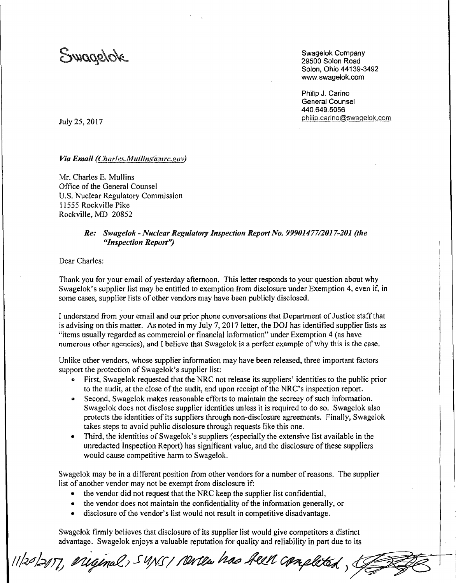Swagelok

Swagelok Company 29500 Solon Road Solon, Ohio 44139-3492 www.swagelok.com

Philip J. Carino General Counsel 440.649.5056 philip.carino@swagelok.com

July 25, 2017

*Via Email (Charles.Mullins(anrc.gov)* 

Mr. Charles E. Mullins Office of the General Counsel U.S. Nuclear Regulatory Commission 11555 Rockville Pike Rockville, MD 20852

## *Re: Swage/ok-Nuc/ear Regulatory I11spectioll Report No. 99901477/2017-201 (the "lllspection Report'')*

Dear Charles:

Thank you for your email of yesterday afternoon. This letter responds to your question about why Swagelok's supplier list may be entitled to exemption from disclosure under Exemption 4, even if, in some cases, supplier lists of other vendors may have been publicly disclosed.

I understand from your email and our prior phone conversations that Department of Justice staff that is advising on this matter. As noted in my July 7, 2017 letter, the DOJ has identified supplier lists as "items usually regarded as commercial or financial information" under Exemption 4 (as have numerous other agencies), and I believe that Swagelok is a perfect example of why this is the case.

Unlike other vendors, whose supplier information may have been released, three important factors support the protection of Swagelok's supplier list:

- 1i First, Swagelok requested that the NRC not release its suppliers' identities to the public prior to the audit, at the close of the audit, and upon receipt of the NRC's inspection report.
- Second, Swagelok makes reasonable efforts to maintain the secrecy of such information. Swagelok does not disclose supplier identities unless it is required to do so. Swagelok also protects the identities of its suppliers through non-disclosure agreements. Finally, Swagelok takes steps to avoid public disclosure through requests like this one.
- Third, the identities of Swagelok's suppliers (especially the extensive list available in the unredacted Inspection Report) has significant value, and the disclosure of these suppliers would cause competitive harm to Swagelok.

Swagelok may be in a different position from other vendors for a number of reasons. The supplier list of another vendor may not be exempt from disclosure if:

- the vendor did not request that the NRC keep the supplier list confidential,
- the vendor does not maintain the confidentiality of the information generally, or
- disclosure of the vendor's list would not result in competitive disadvantage.

Swagelok firmly believes that disclosure of its supplier list would give competitors a distinct advantage. Swagelok enjoys a valuable reputation for quality and reliability in part due to its

11/20/2017, ariginal, SUNS/ Newter has been completed,